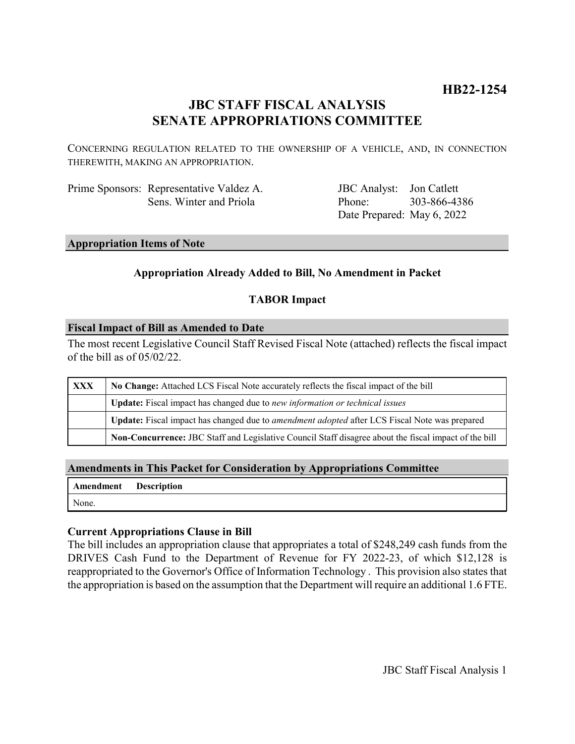# **HB22-1254**

# **JBC STAFF FISCAL ANALYSIS SENATE APPROPRIATIONS COMMITTEE**

CONCERNING REGULATION RELATED TO THE OWNERSHIP OF A VEHICLE, AND, IN CONNECTION THEREWITH, MAKING AN APPROPRIATION.

Prime Sponsors: Representative Valdez A. Sens. Winter and Priola

JBC Analyst: Jon Catlett Phone: Date Prepared: May 6, 2022 303-866-4386

#### **Appropriation Items of Note**

## **Appropriation Already Added to Bill, No Amendment in Packet**

## **TABOR Impact**

#### **Fiscal Impact of Bill as Amended to Date**

The most recent Legislative Council Staff Revised Fiscal Note (attached) reflects the fiscal impact of the bill as of 05/02/22.

| XXX | No Change: Attached LCS Fiscal Note accurately reflects the fiscal impact of the bill                       |
|-----|-------------------------------------------------------------------------------------------------------------|
|     | <b>Update:</b> Fiscal impact has changed due to new information or technical issues                         |
|     | <b>Update:</b> Fiscal impact has changed due to <i>amendment adopted</i> after LCS Fiscal Note was prepared |
|     | Non-Concurrence: JBC Staff and Legislative Council Staff disagree about the fiscal impact of the bill       |

## **Amendments in This Packet for Consideration by Appropriations Committee**

|       | Amendment Description |
|-------|-----------------------|
| None. |                       |

#### **Current Appropriations Clause in Bill**

The bill includes an appropriation clause that appropriates a total of \$248,249 cash funds from the DRIVES Cash Fund to the Department of Revenue for FY 2022-23, of which \$12,128 is reappropriated to the Governor's Office of Information Technology . This provision also states that the appropriation is based on the assumption that the Department will require an additional 1.6 FTE.